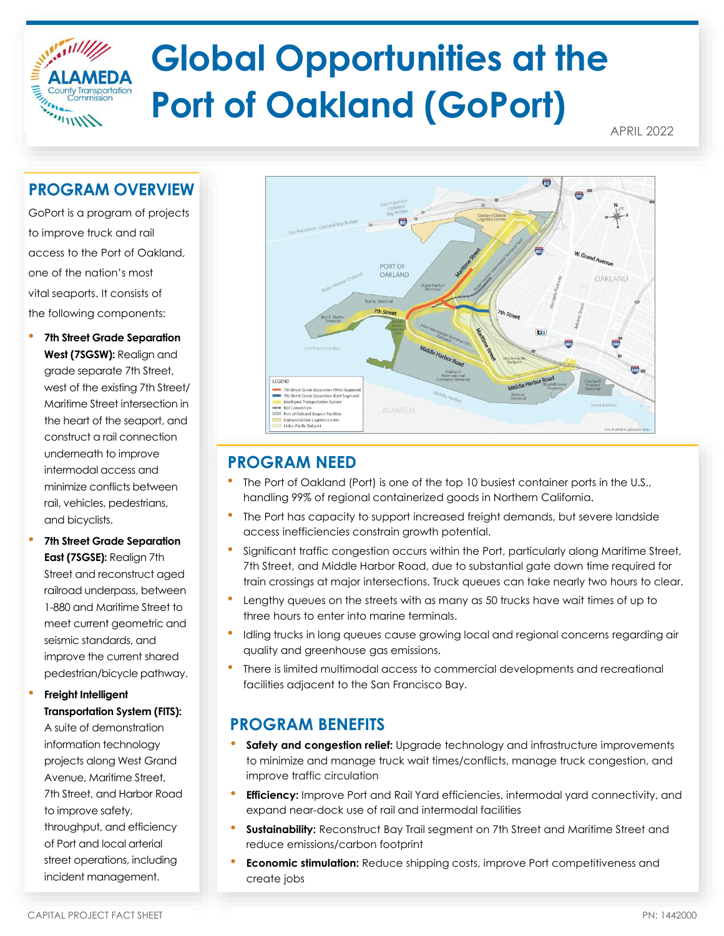

APRIL 2022

## **PROGRAM OVERVIEW**

 $\frac{1}{2}$ 

GoPort is a program of projects to improve truck and rail access to the Port of Oakland, one of the nation's most vital seaports. It consists of the following components:

• **7th Street Grade Separation West (7SGSW):** Realign and grade separate 7th Street, west of the existing 7th Street/ Maritime Street intersection in the heart of the seaport, and construct a rail connection underneath to improve intermodal access and minimize conflicts between rail, vehicles, pedestrians, and bicyclists.

• **7th Street Grade Separation East (7SGSE):** Realign 7th Street and reconstruct aged railroad underpass, between 1-880 and Maritime Street to meet current geometric and seismic standards, and improve the current shared pedestrian/bicycle pathway.

#### • **Freight Intelligent Transportation System (FITS):**

A suite of demonstration information technology projects along West Grand Avenue, Maritime Street, 7th Street, and Harbor Road to improve safety, throughput, and efficiency of Port and local arterial street operations, including incident management.



# **PROGRAM NEED**

- The Port of Oakland (Port) is one of the top 10 busiest container ports in the U.S., handling 99% of regional containerized goods in Northern California.
- The Port has capacity to support increased freight demands, but severe landside access inefficiencies constrain growth potential.
- Significant traffic congestion occurs within the Port, particularly along Maritime Street, 7th Street, and Middle Harbor Road, due to substantial gate down time required for train crossings at major intersections. Truck queues can take nearly two hours to clear.
- Lengthy queues on the streets with as many as 50 trucks have wait times of up to three hours to enter into marine terminals.
- Idling trucks in long queues cause growing local and regional concerns regarding air quality and greenhouse gas emissions.
- There is limited multimodal access to commercial developments and recreational facilities adjacent to the San Francisco Bay.

# **PROGRAM BENEFITS**

- **Safety and congestion relief:** Upgrade technology and infrastructure improvements to minimize and manage truck wait times/conflicts, manage truck congestion, and improve traffic circulation
- **Efficiency:** Improve Port and Rail Yard efficiencies, intermodal yard connectivity, and expand near-dock use of rail and intermodal facilities
- **Sustainability:** Reconstruct Bay Trail segment on 7th Street and Maritime Street and reduce emissions/carbon footprint
- **Economic stimulation:** Reduce shipping costs, improve Port competitiveness and create jobs